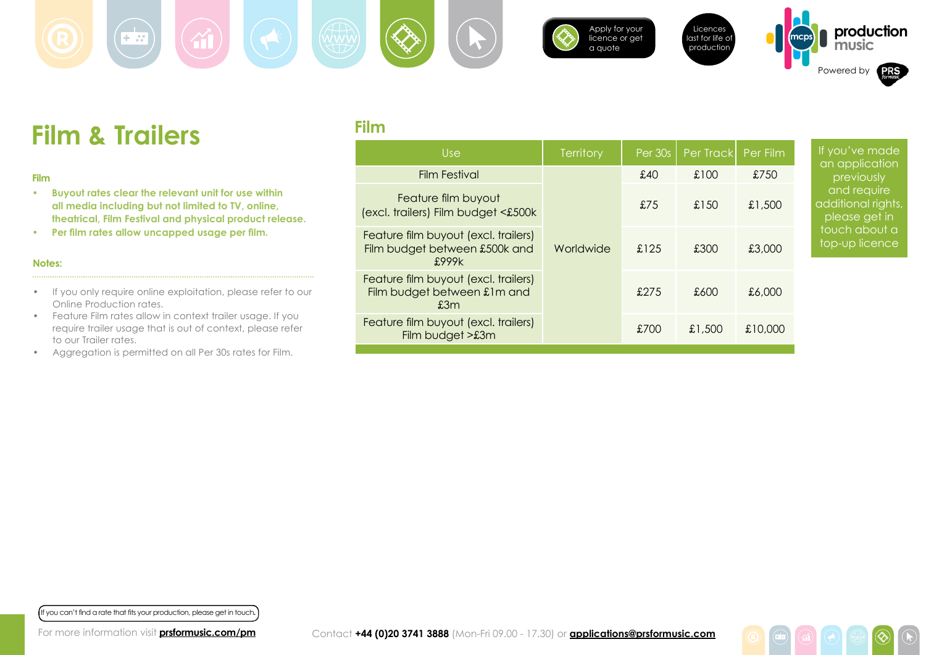

**Film**



[Apply for your](https://musicshop.prsformusic.com/lmgr/)  [licence or get](https://musicshop.prsformusic.com/lmgr/)  [a quote](https://musicshop.prsformusic.com/lmgr/)





**production** 

# **Film & Trailers**

 $+ \pi$ 

#### **Film**

- **• Buyout rates clear the relevant unit for use within all media including but not limited to TV, online, theatrical, Film Festival and physical product release.**
- **Per film rates allow uncapped usage per film.**

### **Notes:**

- If you only require online exploitation, please refer to our Online Production rates.
- Feature Film rates allow in context trailer usage. If you require trailer usage that is out of context, please refer to our Trailer rates.
- Aggregation is permitted on all Per 30s rates for Film.

| <b>Use</b>                                                                     | <b>Territory</b> | Per 30s | Per Track | Per Film |  |  |
|--------------------------------------------------------------------------------|------------------|---------|-----------|----------|--|--|
| <b>Film Festival</b>                                                           | Worldwide        | £40     | £100      | £750     |  |  |
| Feature film buyout<br>(excl. trailers) Film budget <£500k                     |                  | £75     | £150      | £1,500   |  |  |
| Feature film buyout (excl. trailers)<br>Film budget between £500k and<br>£999k |                  | £125    | £300      | £3,000   |  |  |
| Feature film buyout (excl. trailers)<br>Film budget between £1m and<br>£3m     |                  | £275    | £600      | £6,000   |  |  |
| Feature film buyout (excl. trailers)<br>Film budget >£3m                       |                  | £700    | £1,500    | £10,000  |  |  |

e made ication ously aquire al rights, get in about a icence

#### If you can't find a rate that fits your production, please get in touch**.**

For more information visit **[prsformusic.com/pm](www.prsformusic.com/pm)**